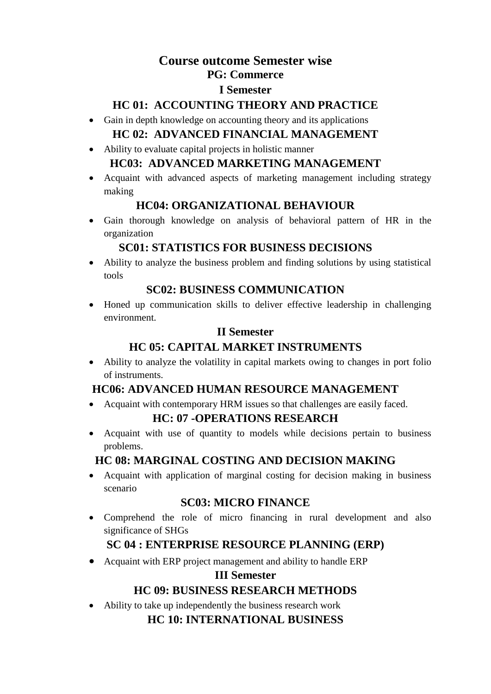#### **Course outcome Semester wise PG: Commerce**

# **I Semester**

#### **HC 01: ACCOUNTING THEORY AND PRACTICE**

- Gain in depth knowledge on accounting theory and its applications **HC 02: ADVANCED FINANCIAL MANAGEMENT**
- Ability to evaluate capital projects in holistic manner **HC03: ADVANCED MARKETING MANAGEMENT**
- Acquaint with advanced aspects of marketing management including strategy making

#### **HC04: ORGANIZATIONAL BEHAVIOUR**

 Gain thorough knowledge on analysis of behavioral pattern of HR in the organization

## **SC01: STATISTICS FOR BUSINESS DECISIONS**

 Ability to analyze the business problem and finding solutions by using statistical tools

#### **SC02: BUSINESS COMMUNICATION**

 Honed up communication skills to deliver effective leadership in challenging environment.

#### **II Semester**

## **HC 05: CAPITAL MARKET INSTRUMENTS**

 Ability to analyze the volatility in capital markets owing to changes in port folio of instruments.

## **HC06: ADVANCED HUMAN RESOURCE MANAGEMENT**

• Acquaint with contemporary HRM issues so that challenges are easily faced.

## **HC: 07 -OPERATIONS RESEARCH**

• Acquaint with use of quantity to models while decisions pertain to business problems.

## **HC 08: MARGINAL COSTING AND DECISION MAKING**

 Acquaint with application of marginal costing for decision making in business scenario

## **SC03: MICRO FINANCE**

 Comprehend the role of micro financing in rural development and also significance of SHGs

## **SC 04 : ENTERPRISE RESOURCE PLANNING (ERP)**

• Acquaint with ERP project management and ability to handle ERP

#### **III Semester**

## **HC 09: BUSINESS RESEARCH METHODS**

Ability to take up independently the business research work

## **HC 10: INTERNATIONAL BUSINESS**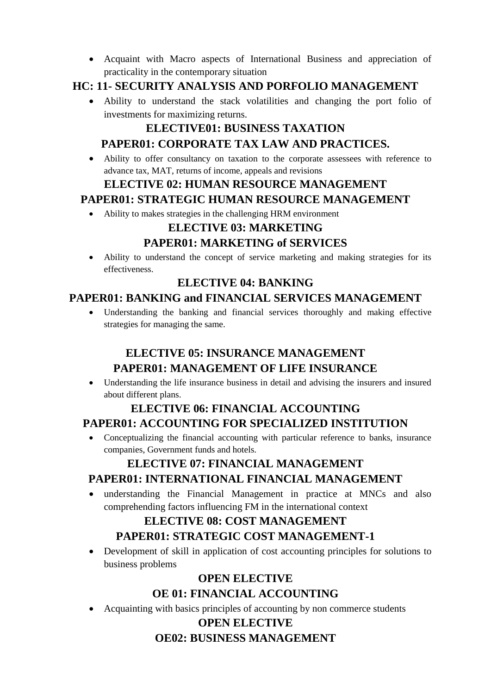Acquaint with Macro aspects of International Business and appreciation of practicality in the contemporary situation

## **HC: 11- SECURITY ANALYSIS AND PORFOLIO MANAGEMENT**

 Ability to understand the stack volatilities and changing the port folio of investments for maximizing returns.

# **ELECTIVE01: BUSINESS TAXATION PAPER01: CORPORATE TAX LAW AND PRACTICES.**

 Ability to offer consultancy on taxation to the corporate assessees with reference to advance tax, MAT, returns of income, appeals and revisions

# **ELECTIVE 02: HUMAN RESOURCE MANAGEMENT**

## **PAPER01: STRATEGIC HUMAN RESOURCE MANAGEMENT**

Ability to makes strategies in the challenging HRM environment

## **ELECTIVE 03: MARKETING**

## **PAPER01: MARKETING of SERVICES**

 Ability to understand the concept of service marketing and making strategies for its effectiveness.

#### **ELECTIVE 04: BANKING**

# **PAPER01: BANKING and FINANCIAL SERVICES MANAGEMENT**

 Understanding the banking and financial services thoroughly and making effective strategies for managing the same.

# **ELECTIVE 05: INSURANCE MANAGEMENT PAPER01: MANAGEMENT OF LIFE INSURANCE**

 Understanding the life insurance business in detail and advising the insurers and insured about different plans.

# **ELECTIVE 06: FINANCIAL ACCOUNTING**

# **PAPER01: ACCOUNTING FOR SPECIALIZED INSTITUTION**

 Conceptualizing the financial accounting with particular reference to banks, insurance companies, Government funds and hotels.

# **ELECTIVE 07: FINANCIAL MANAGEMENT PAPER01: INTERNATIONAL FINANCIAL MANAGEMENT**

 understanding the Financial Management in practice at MNCs and also comprehending factors influencing FM in the international context

# **ELECTIVE 08: COST MANAGEMENT PAPER01: STRATEGIC COST MANAGEMENT-1**

 Development of skill in application of cost accounting principles for solutions to business problems

# **OPEN ELECTIVE**

- **OE 01: FINANCIAL ACCOUNTING**
- Acquainting with basics principles of accounting by non commerce students

#### **OPEN ELECTIVE OE02: BUSINESS MANAGEMENT**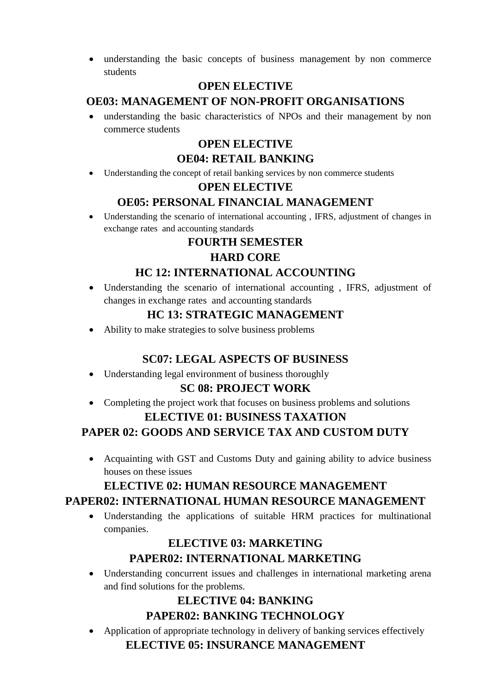understanding the basic concepts of business management by non commerce students

## **OPEN ELECTIVE**

## **OE03: MANAGEMENT OF NON-PROFIT ORGANISATIONS**

 understanding the basic characteristics of NPOs and their management by non commerce students

#### **OPEN ELECTIVE OE04: RETAIL BANKING**

Understanding the concept of retail banking services by non commerce students

#### **OPEN ELECTIVE**

# **OE05: PERSONAL FINANCIAL MANAGEMENT**

 Understanding the scenario of international accounting , IFRS, adjustment of changes in exchange rates and accounting standards

## **FOURTH SEMESTER**

## **HARD CORE**

## **HC 12: INTERNATIONAL ACCOUNTING**

 Understanding the scenario of international accounting , IFRS, adjustment of changes in exchange rates and accounting standards

## **HC 13: STRATEGIC MANAGEMENT**

Ability to make strategies to solve business problems

## **SC07: LEGAL ASPECTS OF BUSINESS**

Understanding legal environment of business thoroughly

## **SC 08: PROJECT WORK**

• Completing the project work that focuses on business problems and solutions

#### **ELECTIVE 01: BUSINESS TAXATION**

# **PAPER 02: GOODS AND SERVICE TAX AND CUSTOM DUTY**

• Acquainting with GST and Customs Duty and gaining ability to advice business houses on these issues

# **ELECTIVE 02: HUMAN RESOURCE MANAGEMENT**

## **PAPER02: INTERNATIONAL HUMAN RESOURCE MANAGEMENT**

 Understanding the applications of suitable HRM practices for multinational companies.

## **ELECTIVE 03: MARKETING PAPER02: INTERNATIONAL MARKETING**

 Understanding concurrent issues and challenges in international marketing arena and find solutions for the problems.

## **ELECTIVE 04: BANKING PAPER02: BANKING TECHNOLOGY**

 Application of appropriate technology in delivery of banking services effectively **ELECTIVE 05: INSURANCE MANAGEMENT**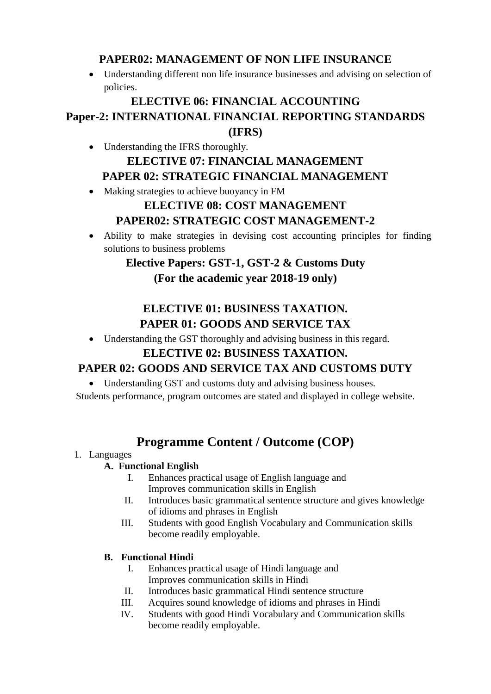## **PAPER02: MANAGEMENT OF NON LIFE INSURANCE**

 Understanding different non life insurance businesses and advising on selection of policies.

# **ELECTIVE 06: FINANCIAL ACCOUNTING Paper-2: INTERNATIONAL FINANCIAL REPORTING STANDARDS (IFRS)**

- Understanding the IFRS thoroughly. **ELECTIVE 07: FINANCIAL MANAGEMENT PAPER 02: STRATEGIC FINANCIAL MANAGEMENT**
- Making strategies to achieve buoyancy in FM

## **ELECTIVE 08: COST MANAGEMENT PAPER02: STRATEGIC COST MANAGEMENT-2**

 Ability to make strategies in devising cost accounting principles for finding solutions to business problems

# **Elective Papers: GST-1, GST-2 & Customs Duty (For the academic year 2018-19 only)**

# **ELECTIVE 01: BUSINESS TAXATION. PAPER 01: GOODS AND SERVICE TAX**

Understanding the GST thoroughly and advising business in this regard.

## **ELECTIVE 02: BUSINESS TAXATION.**

# **PAPER 02: GOODS AND SERVICE TAX AND CUSTOMS DUTY**

Understanding GST and customs duty and advising business houses.

Students performance, program outcomes are stated and displayed in college website.

# **Programme Content / Outcome (COP)**

#### 1. Languages

#### **A. Functional English**

- I. Enhances practical usage of English language and Improves communication skills in English
- II. Introduces basic grammatical sentence structure and gives knowledge of idioms and phrases in English
- III. Students with good English Vocabulary and Communication skills become readily employable.

# **B. Functional Hindi**

- I. Enhances practical usage of Hindi language and Improves communication skills in Hindi
- II. Introduces basic grammatical Hindi sentence structure
- III. Acquires sound knowledge of idioms and phrases in Hindi
- IV. Students with good Hindi Vocabulary and Communication skills become readily employable.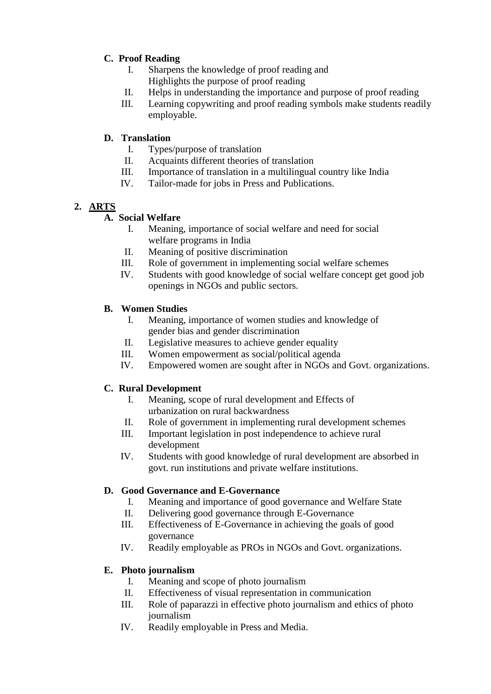#### **C. Proof Reading**

- I. Sharpens the knowledge of proof reading and Highlights the purpose of proof reading
- II. Helps in understanding the importance and purpose of proof reading
- III. Learning copywriting and proof reading symbols make students readily employable.

#### **D. Translation**

- I. Types/purpose of translation
- II. Acquaints different theories of translation
- III. Importance of translation in a multilingual country like India
- IV. Tailor-made for jobs in Press and Publications.

#### **2. ARTS**

#### **A. Social Welfare**

- I. Meaning, importance of social welfare and need for social welfare programs in India
- II. Meaning of positive discrimination
- III. Role of government in implementing social welfare schemes
- IV. Students with good knowledge of social welfare concept get good job openings in NGOs and public sectors.

#### **B. Women Studies**

- I. Meaning, importance of women studies and knowledge of gender bias and gender discrimination
- II. Legislative measures to achieve gender equality
- III. Women empowerment as social/political agenda
- IV. Empowered women are sought after in NGOs and Govt. organizations.

#### **C. Rural Development**

- I. Meaning, scope of rural development and Effects of urbanization on rural backwardness
- II. Role of government in implementing rural development schemes
- III. Important legislation in post independence to achieve rural development
- IV. Students with good knowledge of rural development are absorbed in govt. run institutions and private welfare institutions.

#### **D. Good Governance and E-Governance**

- I. Meaning and importance of good governance and Welfare State
- II. Delivering good governance through E-Governance
- III. Effectiveness of E-Governance in achieving the goals of good governance
- IV. Readily employable as PROs in NGOs and Govt. organizations.

#### **E. Photo journalism**

- I. Meaning and scope of photo journalism
- II. Effectiveness of visual representation in communication
- III. Role of paparazzi in effective photo journalism and ethics of photo journalism
- IV. Readily employable in Press and Media.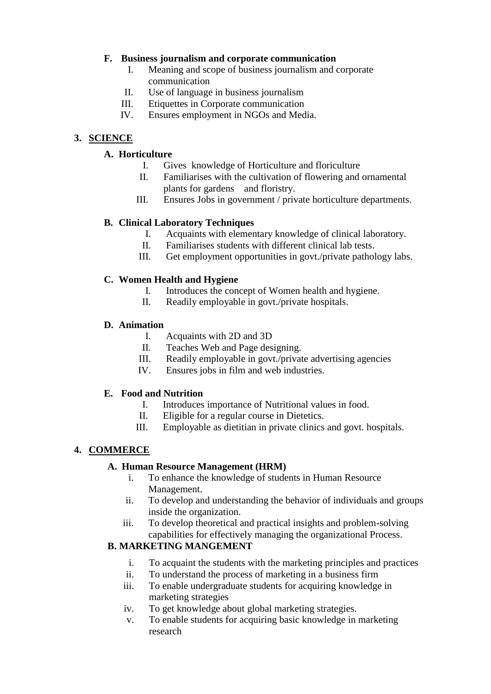#### **F. Business journalism and corporate communication**

- I. Meaning and scope of business journalism and corporate communication
- II. Use of language in business journalism
- III. Etiquettes in Corporate communication
- IV. Ensures employment in NGOs and Media.

#### **3. SCIENCE**

#### **A. Horticulture**

- I. Gives knowledge of Horticulture and floriculture
- II. Familiarises with the cultivation of flowering and ornamental plants for gardens and floristry.
- III. Ensures Jobs in government / private horticulture departments.

#### **B. Clinical Laboratory Techniques**

- I. Acquaints with elementary knowledge of clinical laboratory.
- II. Familiarises students with different clinical lab tests.
- III. Get employment opportunities in govt./private pathology labs.

#### **C. Women Health and Hygiene**

- I. Introduces the concept of Women health and hygiene.
- II. Readily employable in govt./private hospitals.

#### **D. Animation**

- I. Acquaints with 2D and 3D
- II. Teaches Web and Page designing.
- III. Readily employable in govt./private advertising agencies
- IV. Ensures jobs in film and web industries.

#### **E. Food and Nutrition**

- I. Introduces importance of Nutritional values in food.
- II. Eligible for a regular course in Dietetics.
- III. Employable as dietitian in private clinics and govt. hospitals.

#### **4. COMMERCE**

#### **A. Human Resource Management (HRM)**

- i. To enhance the knowledge of students in Human Resource Management.
- ii. To develop and understanding the behavior of individuals and groups inside the organization.
- iii. To develop theoretical and practical insights and problem-solving capabilities for effectively managing the organizational Process.

#### **B. MARKETING MANGEMENT**

- i. To acquaint the students with the marketing principles and practices
- ii. To understand the process of marketing in a business firm
- iii. To enable undergraduate students for acquiring knowledge in marketing strategies
- iv. To get knowledge about global marketing strategies.
- v. To enable students for acquiring basic knowledge in marketing research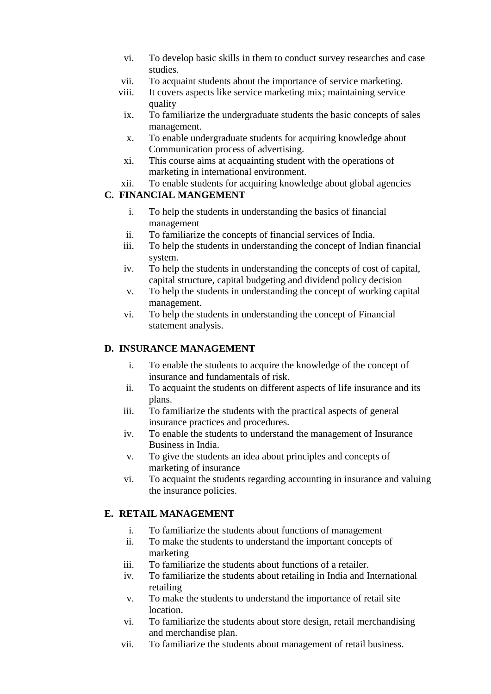- vi. To develop basic skills in them to conduct survey researches and case studies.
- vii. To acquaint students about the importance of service marketing.
- viii. It covers aspects like service marketing mix; maintaining service quality
	- ix. To familiarize the undergraduate students the basic concepts of sales management.
	- x. To enable undergraduate students for acquiring knowledge about Communication process of advertising.
- xi. This course aims at acquainting student with the operations of marketing in international environment.
- xii. To enable students for acquiring knowledge about global agencies

#### **C. FINANCIAL MANGEMENT**

- i. To help the students in understanding the basics of financial management
- ii. To familiarize the concepts of financial services of India.
- iii. To help the students in understanding the concept of Indian financial system.
- iv. To help the students in understanding the concepts of cost of capital, capital structure, capital budgeting and dividend policy decision
- v. To help the students in understanding the concept of working capital management.
- vi. To help the students in understanding the concept of Financial statement analysis.

#### **D. INSURANCE MANAGEMENT**

- i. To enable the students to acquire the knowledge of the concept of insurance and fundamentals of risk.
- ii. To acquaint the students on different aspects of life insurance and its plans.
- iii. To familiarize the students with the practical aspects of general insurance practices and procedures.
- iv. To enable the students to understand the management of Insurance Business in India.
- v. To give the students an idea about principles and concepts of marketing of insurance
- vi. To acquaint the students regarding accounting in insurance and valuing the insurance policies.

#### **E. RETAIL MANAGEMENT**

- i. To familiarize the students about functions of management
- ii. To make the students to understand the important concepts of marketing
- iii. To familiarize the students about functions of a retailer.
- iv. To familiarize the students about retailing in India and International retailing
- v. To make the students to understand the importance of retail site **location**
- vi. To familiarize the students about store design, retail merchandising and merchandise plan.
- vii. To familiarize the students about management of retail business.